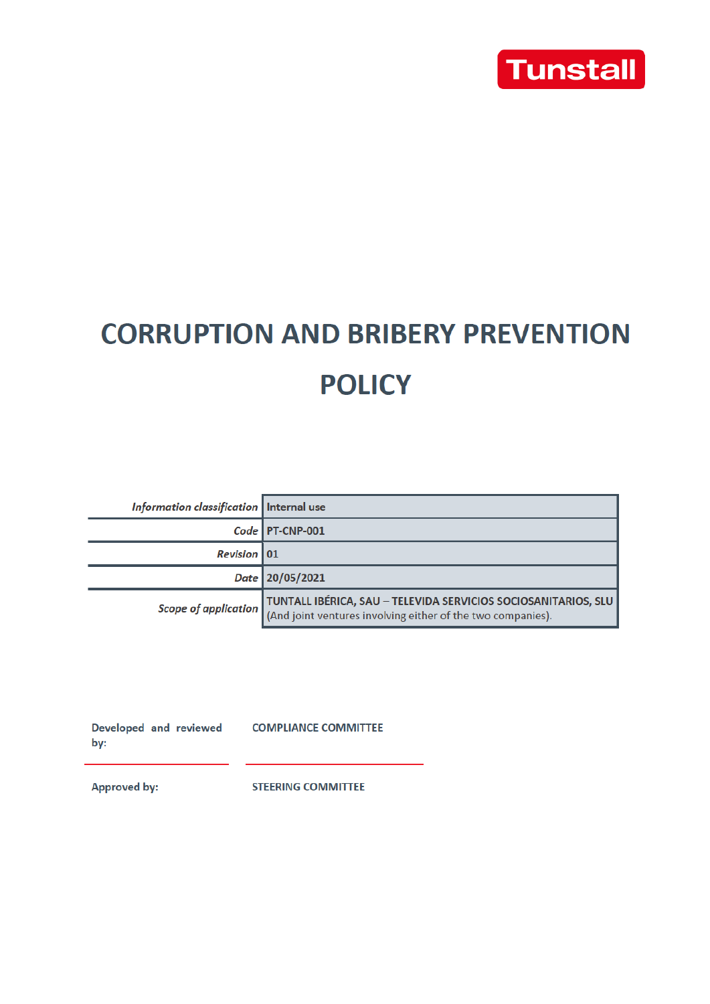

# **CORRUPTION AND BRIBERY PREVENTION POLICY**

| Information classification   Internal use |                                                                                                                                                    |
|-------------------------------------------|----------------------------------------------------------------------------------------------------------------------------------------------------|
|                                           | Code   PT-CNP-001                                                                                                                                  |
| <b>Revision</b> 01                        |                                                                                                                                                    |
|                                           | Date 20/05/2021                                                                                                                                    |
|                                           | Scope of application TUNTALL IBÉRICA, SAU – TELEVIDA SERVICIOS SOCIOSANITARIOS, SLU<br>(And joint ventures involving either of the two companies). |

Developed and reviewed COMPLIANCE COMMITTEE by:

**Approved by:** 

**STEERING COMMITTEE**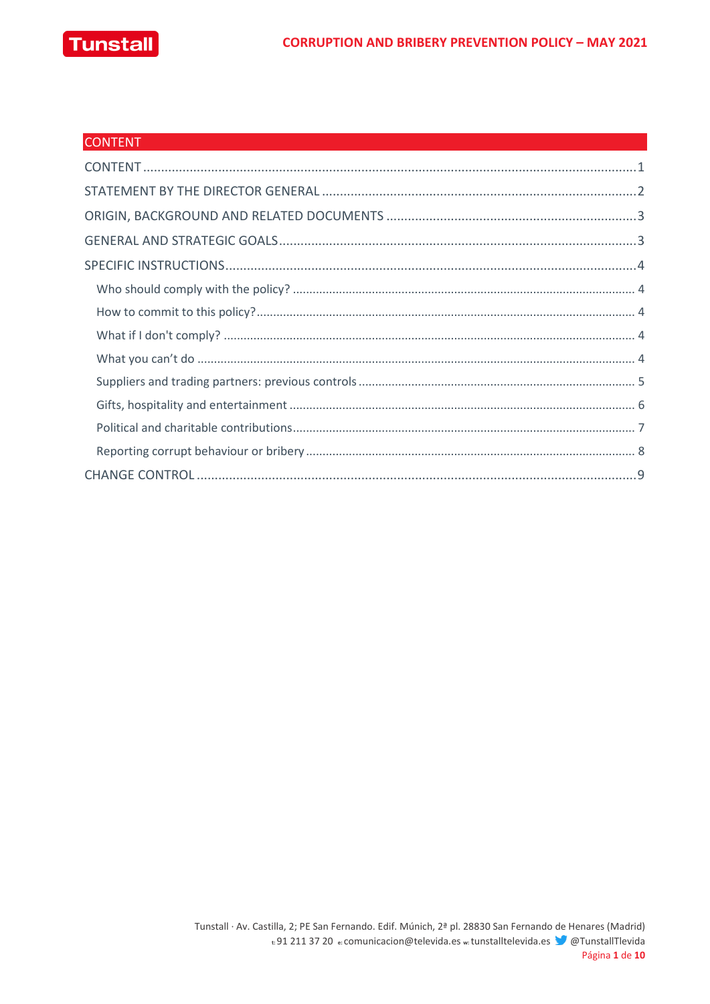

| <b>CONTENT</b> |  |
|----------------|--|
|                |  |
|                |  |
|                |  |
|                |  |
|                |  |
|                |  |
|                |  |
|                |  |
|                |  |
|                |  |
|                |  |
|                |  |
|                |  |
|                |  |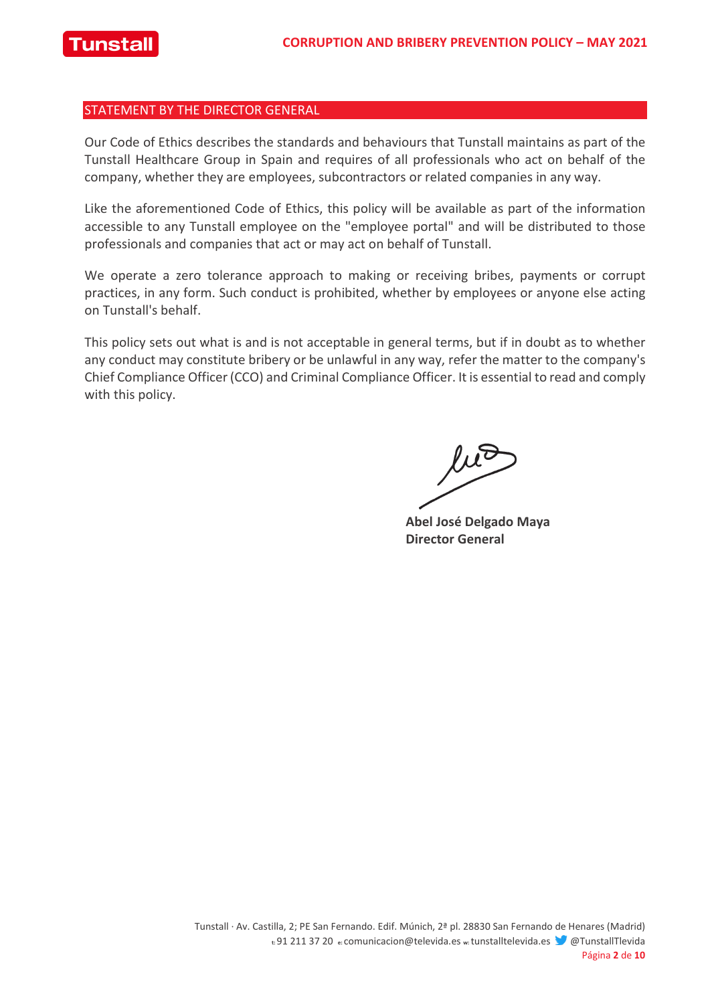#### STATEMENT BY THE DIRECTOR GENERAL

Our Code of Ethics describes the standards and behaviours that Tunstall maintains as part of the Tunstall Healthcare Group in Spain and requires of all professionals who act on behalf of the company, whether they are employees, subcontractors or related companies in any way.

Like the aforementioned Code of Ethics, this policy will be available as part of the information accessible to any Tunstall employee on the "employee portal" and will be distributed to those professionals and companies that act or may act on behalf of Tunstall.

We operate a zero tolerance approach to making or receiving bribes, payments or corrupt practices, in any form. Such conduct is prohibited, whether by employees or anyone else acting on Tunstall's behalf.

This policy sets out what is and is not acceptable in general terms, but if in doubt as to whether any conduct may constitute bribery or be unlawful in any way, refer the matter to the company's Chief Compliance Officer (CCO) and Criminal Compliance Officer. It is essential to read and comply with this policy.

 $\mu$ 

**Abel José Delgado Maya Director General**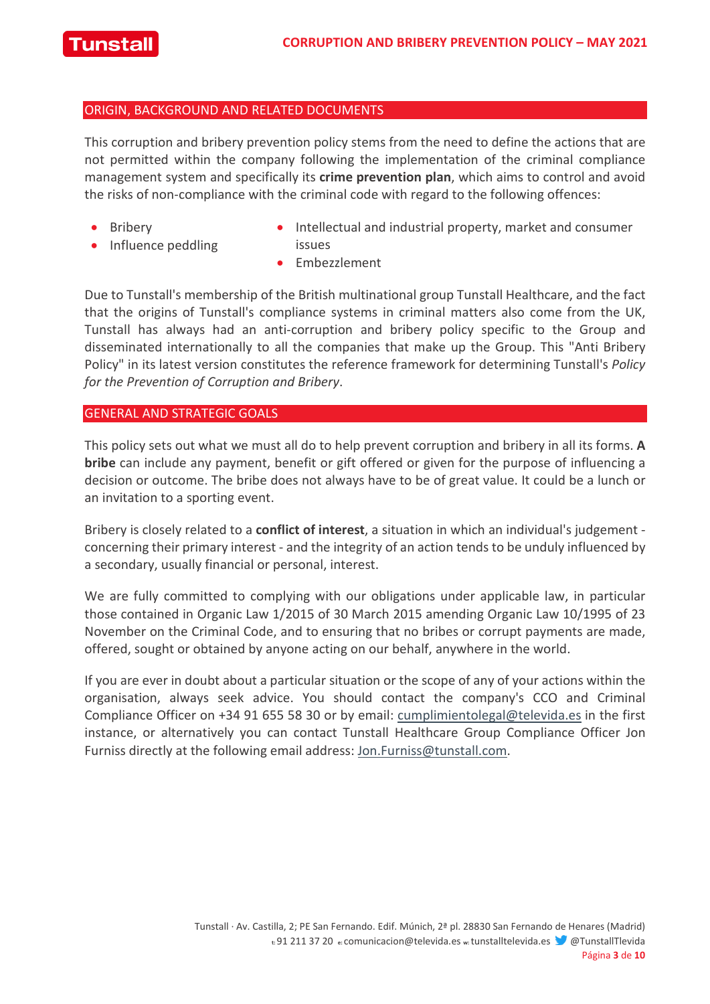

#### ORIGIN, BACKGROUND AND RELATED DOCUMENTS

This corruption and bribery prevention policy stems from the need to define the actions that are not permitted within the company following the implementation of the criminal compliance management system and specifically its **crime prevention plan**, which aims to control and avoid the risks of non-compliance with the criminal code with regard to the following offences:

**Bribery** 

• Influence peddling

- Intellectual and industrial property, market and consumer issues
- Embezzlement

Due to Tunstall's membership of the British multinational group Tunstall Healthcare, and the fact that the origins of Tunstall's compliance systems in criminal matters also come from the UK, Tunstall has always had an anti-corruption and bribery policy specific to the Group and disseminated internationally to all the companies that make up the Group. This "Anti Bribery Policy" in its latest version constitutes the reference framework for determining Tunstall's *Policy for the Prevention of Corruption and Bribery*.

#### GENERAL AND STRATEGIC GOALS

This policy sets out what we must all do to help prevent corruption and bribery in all its forms. **A bribe** can include any payment, benefit or gift offered or given for the purpose of influencing a decision or outcome. The bribe does not always have to be of great value. It could be a lunch or an invitation to a sporting event.

Bribery is closely related to a **conflict of interest**, a situation in which an individual's judgement concerning their primary interest - and the integrity of an action tends to be unduly influenced by a secondary, usually financial or personal, interest.

We are fully committed to complying with our obligations under applicable law, in particular those contained in Organic Law 1/2015 of 30 March 2015 amending Organic Law 10/1995 of 23 November on the Criminal Code, and to ensuring that no bribes or corrupt payments are made, offered, sought or obtained by anyone acting on our behalf, anywhere in the world.

If you are ever in doubt about a particular situation or the scope of any of your actions within the organisation, always seek advice. You should contact the company's CCO and Criminal Compliance Officer on +34 91 655 58 30 or by email: cumplimientolegal@televida.es in the first instance, or alternatively you can contact Tunstall Healthcare Group Compliance Officer Jon Furniss directly at the following email address: Jon.Furniss@tunstall.com.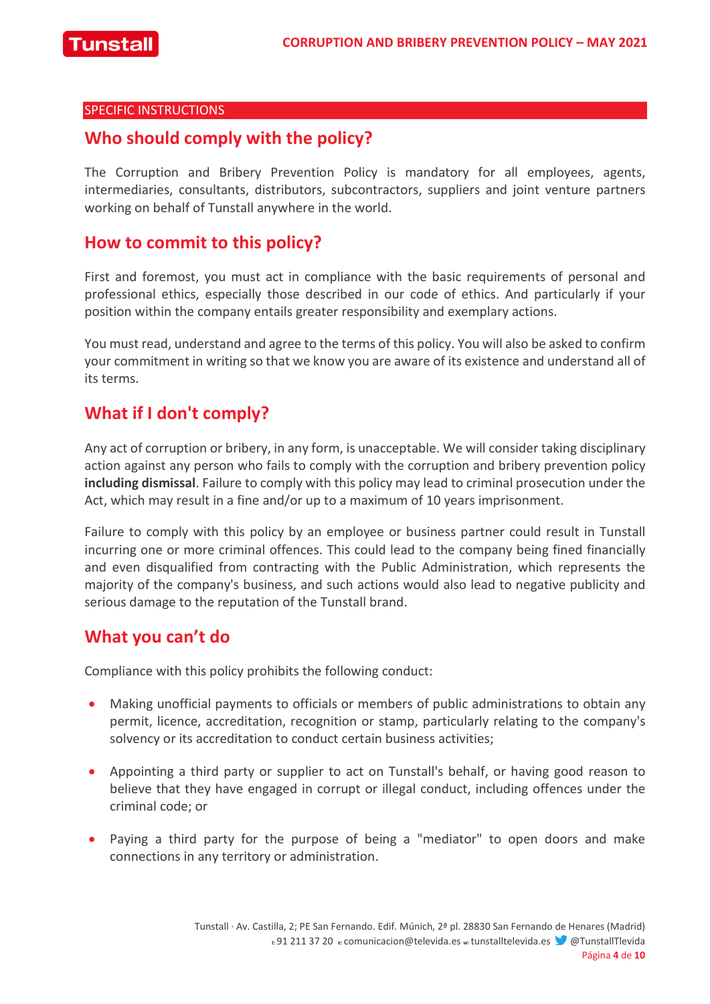#### SPECIFIC INSTRUCTIONS

### **Who should comply with the policy?**

The Corruption and Bribery Prevention Policy is mandatory for all employees, agents, intermediaries, consultants, distributors, subcontractors, suppliers and joint venture partners working on behalf of Tunstall anywhere in the world.

### **How to commit to this policy?**

First and foremost, you must act in compliance with the basic requirements of personal and professional ethics, especially those described in our code of ethics. And particularly if your position within the company entails greater responsibility and exemplary actions.

You must read, understand and agree to the terms of this policy. You will also be asked to confirm your commitment in writing so that we know you are aware of its existence and understand all of its terms.

# **What if I don't comply?**

Any act of corruption or bribery, in any form, is unacceptable. We will consider taking disciplinary action against any person who fails to comply with the corruption and bribery prevention policy **including dismissal**. Failure to comply with this policy may lead to criminal prosecution under the Act, which may result in a fine and/or up to a maximum of 10 years imprisonment.

Failure to comply with this policy by an employee or business partner could result in Tunstall incurring one or more criminal offences. This could lead to the company being fined financially and even disqualified from contracting with the Public Administration, which represents the majority of the company's business, and such actions would also lead to negative publicity and serious damage to the reputation of the Tunstall brand.

# **What you can't do**

Compliance with this policy prohibits the following conduct:

- Making unofficial payments to officials or members of public administrations to obtain any permit, licence, accreditation, recognition or stamp, particularly relating to the company's solvency or its accreditation to conduct certain business activities;
- Appointing a third party or supplier to act on Tunstall's behalf, or having good reason to believe that they have engaged in corrupt or illegal conduct, including offences under the criminal code; or
- Paying a third party for the purpose of being a "mediator" to open doors and make connections in any territory or administration.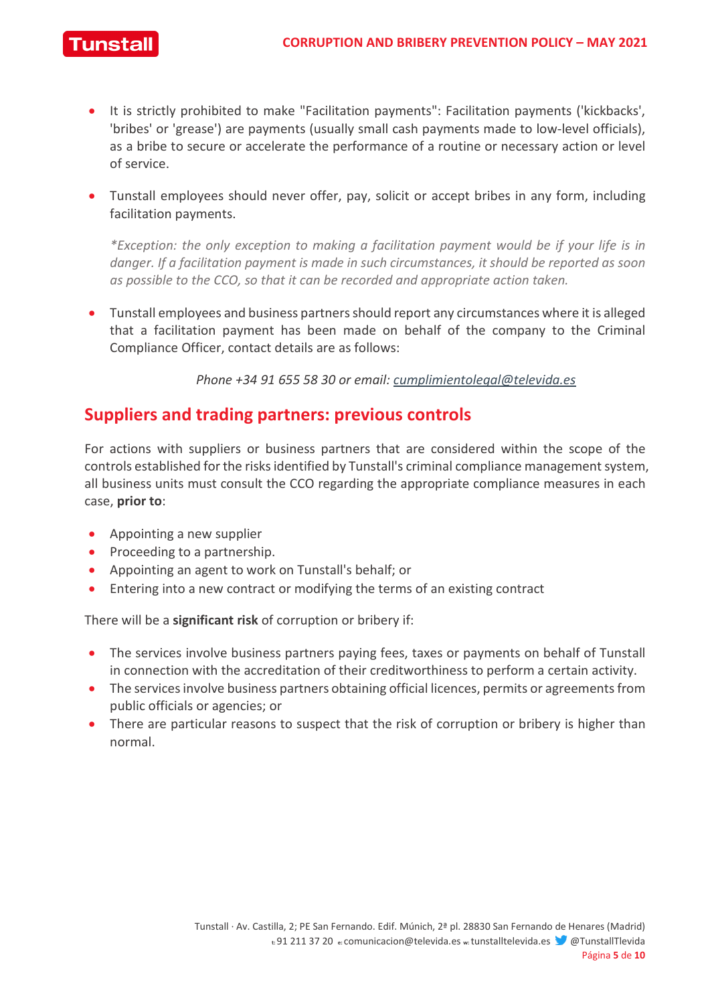

- It is strictly prohibited to make "Facilitation payments": Facilitation payments ('kickbacks', 'bribes' or 'grease') are payments (usually small cash payments made to low-level officials), as a bribe to secure or accelerate the performance of a routine or necessary action or level of service.
- Tunstall employees should never offer, pay, solicit or accept bribes in any form, including facilitation payments.

*\*Exception: the only exception to making a facilitation payment would be if your life is in danger. If a facilitation payment is made in such circumstances, it should be reported as soon as possible to the CCO, so that it can be recorded and appropriate action taken.*

• Tunstall employees and business partners should report any circumstances where it is alleged that a facilitation payment has been made on behalf of the company to the Criminal Compliance Officer, contact details are as follows:

*Phone +34 91 655 58 30 or email: cumplimientolegal@televida.es*

### **Suppliers and trading partners: previous controls**

For actions with suppliers or business partners that are considered within the scope of the controls established for the risks identified by Tunstall's criminal compliance management system, all business units must consult the CCO regarding the appropriate compliance measures in each case, **prior to**:

- Appointing a new supplier
- Proceeding to a partnership.
- Appointing an agent to work on Tunstall's behalf; or
- Entering into a new contract or modifying the terms of an existing contract

There will be a **significant risk** of corruption or bribery if:

- The services involve business partners paying fees, taxes or payments on behalf of Tunstall in connection with the accreditation of their creditworthiness to perform a certain activity.
- The services involve business partners obtaining official licences, permits or agreements from public officials or agencies; or
- There are particular reasons to suspect that the risk of corruption or bribery is higher than normal.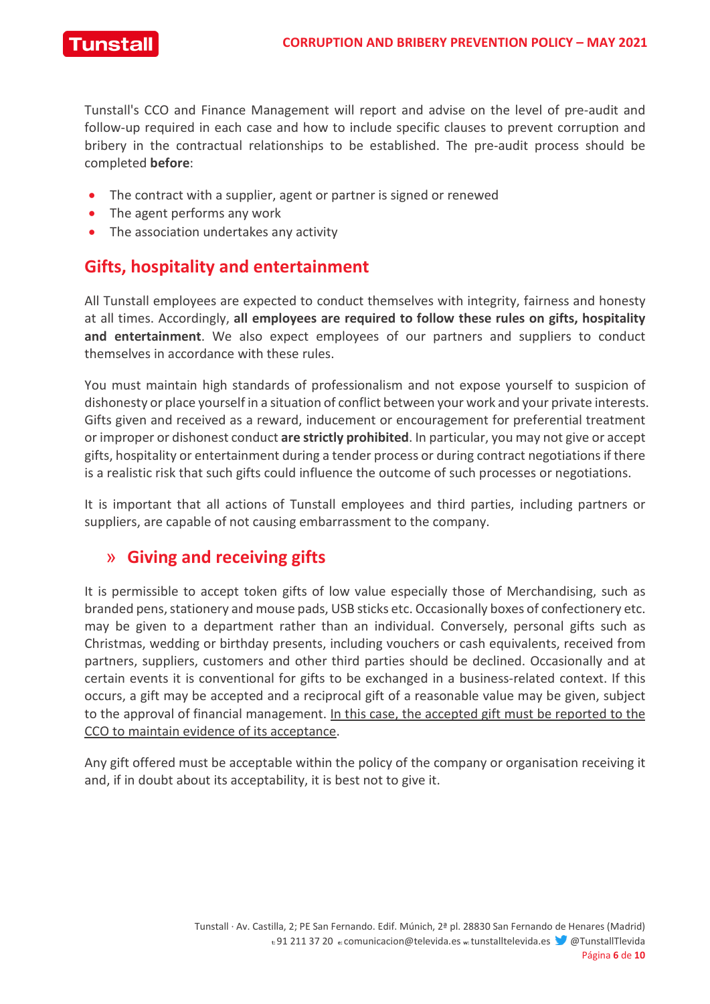Tunstal

Tunstall's CCO and Finance Management will report and advise on the level of pre-audit and follow-up required in each case and how to include specific clauses to prevent corruption and bribery in the contractual relationships to be established. The pre-audit process should be completed **before**:

- The contract with a supplier, agent or partner is signed or renewed
- The agent performs any work
- The association undertakes any activity

# **Gifts, hospitality and entertainment**

All Tunstall employees are expected to conduct themselves with integrity, fairness and honesty at all times. Accordingly, **all employees are required to follow these rules on gifts, hospitality and entertainment**. We also expect employees of our partners and suppliers to conduct themselves in accordance with these rules.

You must maintain high standards of professionalism and not expose yourself to suspicion of dishonesty or place yourself in a situation of conflict between your work and your private interests. Gifts given and received as a reward, inducement or encouragement for preferential treatment or improper or dishonest conduct **are strictly prohibited**. In particular, you may not give or accept gifts, hospitality or entertainment during a tender process or during contract negotiations if there is a realistic risk that such gifts could influence the outcome of such processes or negotiations.

It is important that all actions of Tunstall employees and third parties, including partners or suppliers, are capable of not causing embarrassment to the company.

# » **Giving and receiving gifts**

It is permissible to accept token gifts of low value especially those of Merchandising, such as branded pens, stationery and mouse pads, USB sticks etc. Occasionally boxes of confectionery etc. may be given to a department rather than an individual. Conversely, personal gifts such as Christmas, wedding or birthday presents, including vouchers or cash equivalents, received from partners, suppliers, customers and other third parties should be declined. Occasionally and at certain events it is conventional for gifts to be exchanged in a business-related context. If this occurs, a gift may be accepted and a reciprocal gift of a reasonable value may be given, subject to the approval of financial management. In this case, the accepted gift must be reported to the CCO to maintain evidence of its acceptance.

Any gift offered must be acceptable within the policy of the company or organisation receiving it and, if in doubt about its acceptability, it is best not to give it.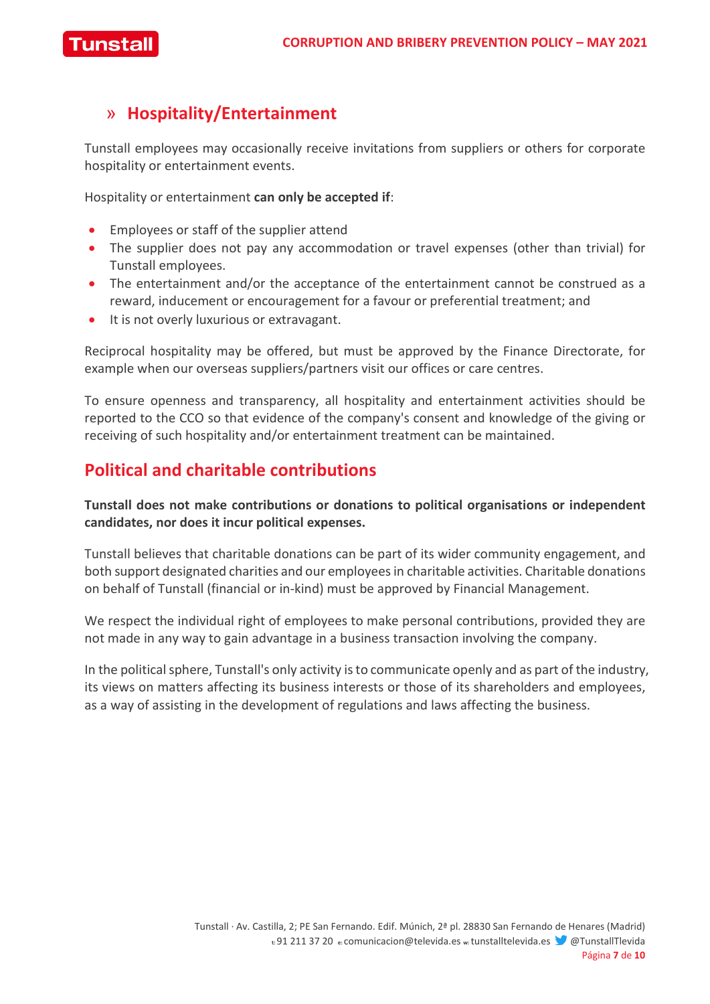

# » **Hospitality/Entertainment**

Tunstall employees may occasionally receive invitations from suppliers or others for corporate hospitality or entertainment events.

Hospitality or entertainment **can only be accepted if**:

- Employees or staff of the supplier attend
- The supplier does not pay any accommodation or travel expenses (other than trivial) for Tunstall employees.
- The entertainment and/or the acceptance of the entertainment cannot be construed as a reward, inducement or encouragement for a favour or preferential treatment; and
- It is not overly luxurious or extravagant.

Reciprocal hospitality may be offered, but must be approved by the Finance Directorate, for example when our overseas suppliers/partners visit our offices or care centres.

To ensure openness and transparency, all hospitality and entertainment activities should be reported to the CCO so that evidence of the company's consent and knowledge of the giving or receiving of such hospitality and/or entertainment treatment can be maintained.

# **Political and charitable contributions**

#### **Tunstall does not make contributions or donations to political organisations or independent candidates, nor does it incur political expenses.**

Tunstall believes that charitable donations can be part of its wider community engagement, and both support designated charities and our employees in charitable activities. Charitable donations on behalf of Tunstall (financial or in-kind) must be approved by Financial Management.

We respect the individual right of employees to make personal contributions, provided they are not made in any way to gain advantage in a business transaction involving the company.

In the political sphere, Tunstall's only activity is to communicate openly and as part of the industry, its views on matters affecting its business interests or those of its shareholders and employees, as a way of assisting in the development of regulations and laws affecting the business.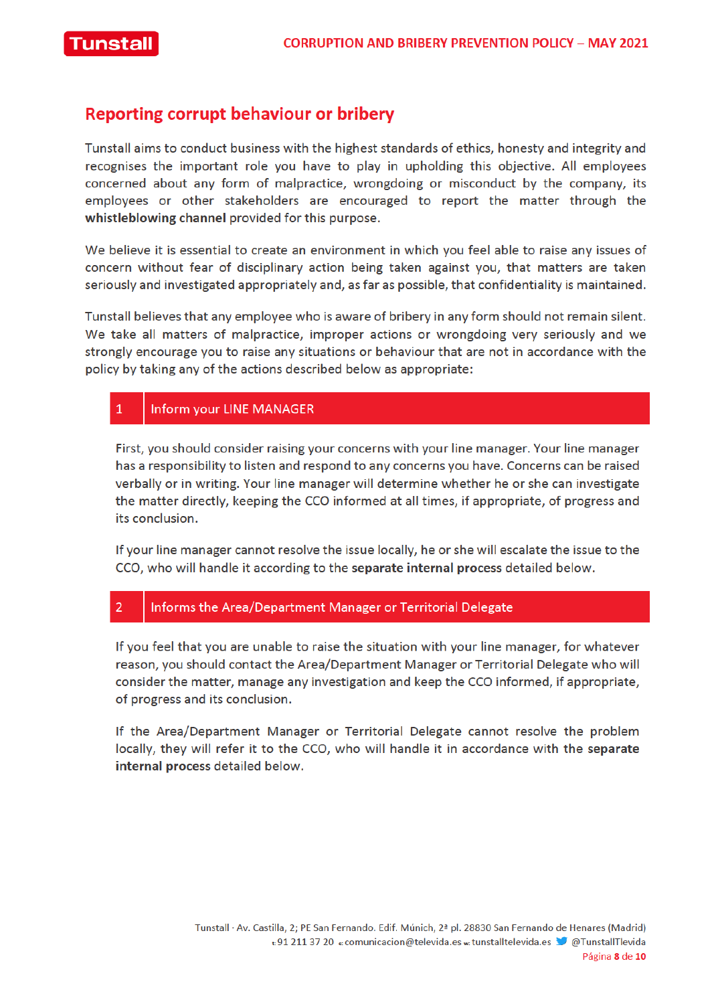

#### **Reporting corrupt behaviour or bribery**

Tunstall aims to conduct business with the highest standards of ethics, honesty and integrity and recognises the important role you have to play in upholding this objective. All employees concerned about any form of malpractice, wrongdoing or misconduct by the company, its employees or other stakeholders are encouraged to report the matter through the whistleblowing channel provided for this purpose.

We believe it is essential to create an environment in which you feel able to raise any issues of concern without fear of disciplinary action being taken against you, that matters are taken seriously and investigated appropriately and, as far as possible, that confidentiality is maintained.

Tunstall believes that any employee who is aware of bribery in any form should not remain silent. We take all matters of malpractice, improper actions or wrongdoing very seriously and we strongly encourage you to raise any situations or behaviour that are not in accordance with the policy by taking any of the actions described below as appropriate:

#### $\mathbf{1}$ **Inform your LINE MANAGER**

First, you should consider raising your concerns with your line manager. Your line manager has a responsibility to listen and respond to any concerns you have. Concerns can be raised verbally or in writing. Your line manager will determine whether he or she can investigate the matter directly, keeping the CCO informed at all times, if appropriate, of progress and its conclusion.

If your line manager cannot resolve the issue locally, he or she will escalate the issue to the CCO, who will handle it according to the separate internal process detailed below.

#### $\overline{2}$ Informs the Area/Department Manager or Territorial Delegate

If you feel that you are unable to raise the situation with your line manager, for whatever reason, you should contact the Area/Department Manager or Territorial Delegate who will consider the matter, manage any investigation and keep the CCO informed, if appropriate, of progress and its conclusion.

If the Area/Department Manager or Territorial Delegate cannot resolve the problem locally, they will refer it to the CCO, who will handle it in accordance with the separate internal process detailed below.